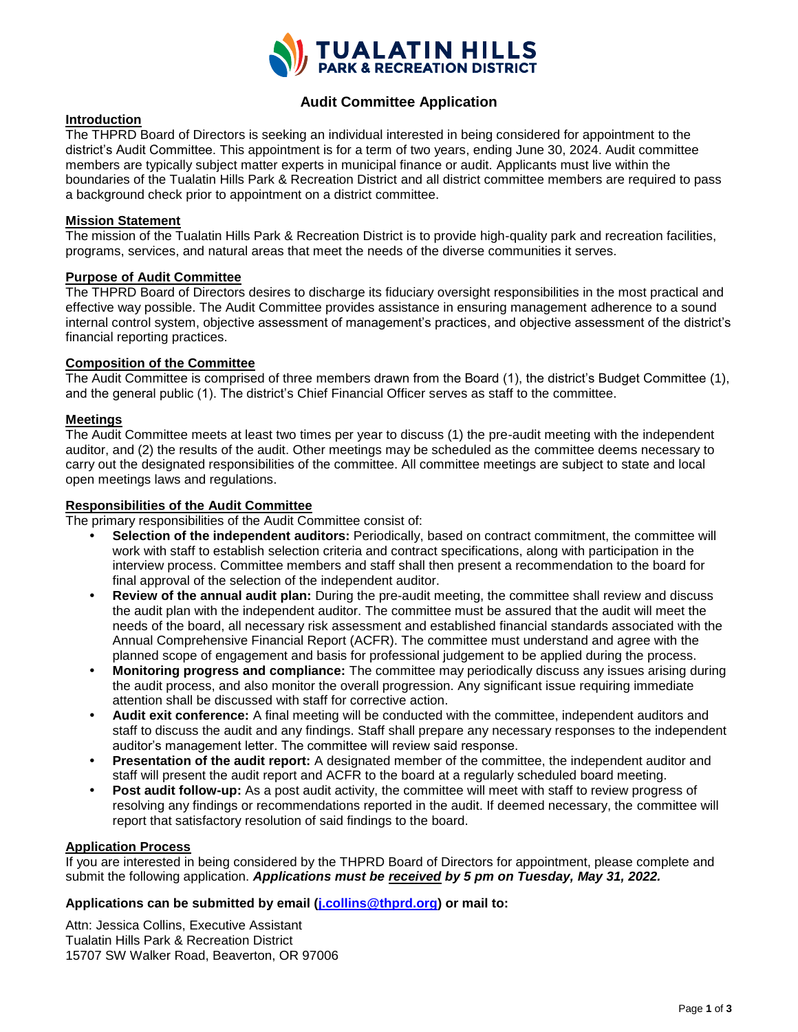

## **Audit Committee Application**

#### **Introduction**

The THPRD Board of Directors is seeking an individual interested in being considered for appointment to the district's Audit Committee. This appointment is for a term of two years, ending June 30, 2024. Audit committee members are typically subject matter experts in municipal finance or audit. Applicants must live within the boundaries of the Tualatin Hills Park & Recreation District and all district committee members are required to pass a background check prior to appointment on a district committee.

#### **Mission Statement**

The mission of the Tualatin Hills Park & Recreation District is to provide high-quality park and recreation facilities, programs, services, and natural areas that meet the needs of the diverse communities it serves.

#### **Purpose of Audit Committee**

The THPRD Board of Directors desires to discharge its fiduciary oversight responsibilities in the most practical and effective way possible. The Audit Committee provides assistance in ensuring management adherence to a sound internal control system, objective assessment of management's practices, and objective assessment of the district's financial reporting practices.

#### **Composition of the Committee**

The Audit Committee is comprised of three members drawn from the Board (1), the district's Budget Committee (1), and the general public (1). The district's Chief Financial Officer serves as staff to the committee.

#### **Meetings**

The Audit Committee meets at least two times per year to discuss (1) the pre-audit meeting with the independent auditor, and (2) the results of the audit. Other meetings may be scheduled as the committee deems necessary to carry out the designated responsibilities of the committee. All committee meetings are subject to state and local open meetings laws and regulations.

#### **Responsibilities of the Audit Committee**

The primary responsibilities of the Audit Committee consist of:

- **Selection of the independent auditors:** Periodically, based on contract commitment, the committee will work with staff to establish selection criteria and contract specifications, along with participation in the interview process. Committee members and staff shall then present a recommendation to the board for final approval of the selection of the independent auditor.
- **Review of the annual audit plan:** During the pre-audit meeting, the committee shall review and discuss the audit plan with the independent auditor. The committee must be assured that the audit will meet the needs of the board, all necessary risk assessment and established financial standards associated with the Annual Comprehensive Financial Report (ACFR). The committee must understand and agree with the planned scope of engagement and basis for professional judgement to be applied during the process.
- **Monitoring progress and compliance:** The committee may periodically discuss any issues arising during the audit process, and also monitor the overall progression. Any significant issue requiring immediate attention shall be discussed with staff for corrective action.
- **Audit exit conference:** A final meeting will be conducted with the committee, independent auditors and staff to discuss the audit and any findings. Staff shall prepare any necessary responses to the independent auditor's management letter. The committee will review said response.
- **Presentation of the audit report:** A designated member of the committee, the independent auditor and staff will present the audit report and ACFR to the board at a regularly scheduled board meeting.
- **Post audit follow-up:** As a post audit activity, the committee will meet with staff to review progress of resolving any findings or recommendations reported in the audit. If deemed necessary, the committee will report that satisfactory resolution of said findings to the board.

#### **Application Process**

If you are interested in being considered by the THPRD Board of Directors for appointment, please complete and submit the following application. *Applications must be received by 5 pm on Tuesday, May 31, 2022.*

### **Applications can be submitted by email [\(j.collins@thprd.org\)](mailto:j.collins@thprd.org) or mail to:**

Attn: Jessica Collins, Executive Assistant Tualatin Hills Park & Recreation District 15707 SW Walker Road, Beaverton, OR 97006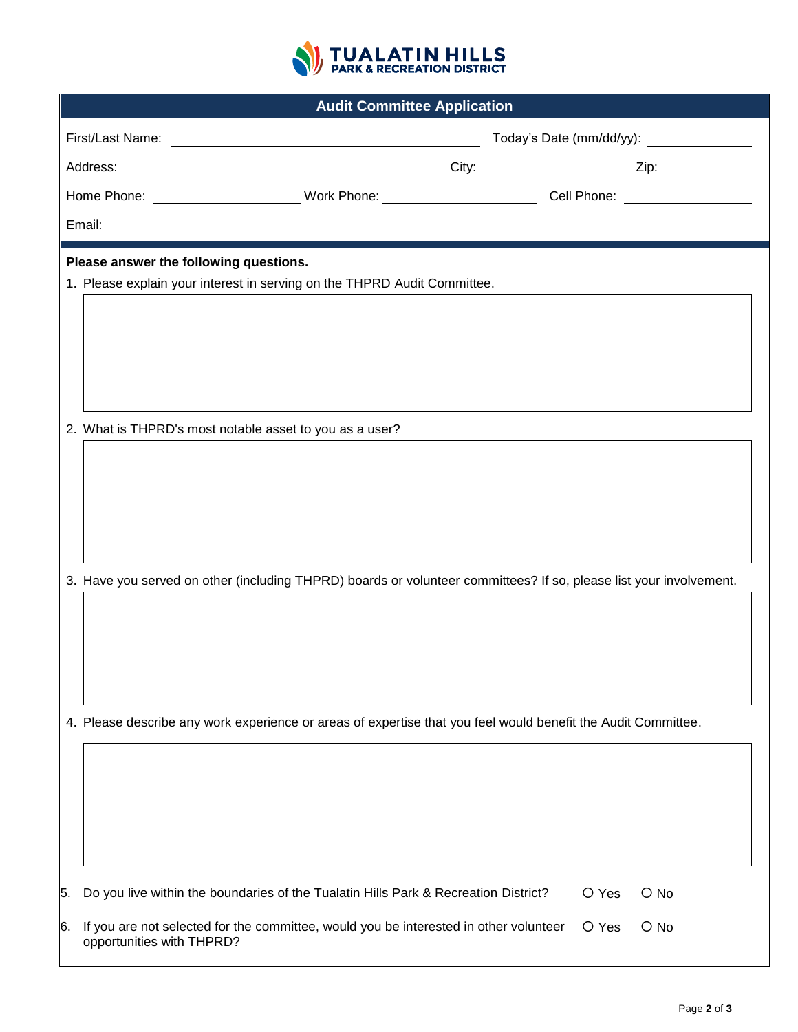

| <b>Audit Committee Application</b>     |                                                                                                                    |       |                                          |  |  |  |
|----------------------------------------|--------------------------------------------------------------------------------------------------------------------|-------|------------------------------------------|--|--|--|
|                                        | First/Last Name: <u>Contract Communication</u>                                                                     |       | Today's Date (mm/dd/yy): _______________ |  |  |  |
| Address:                               |                                                                                                                    |       |                                          |  |  |  |
|                                        | Home Phone: _______________________Work Phone: _______________________________Cell Phone: ____________________     |       |                                          |  |  |  |
| Email:                                 |                                                                                                                    |       |                                          |  |  |  |
| Please answer the following questions. |                                                                                                                    |       |                                          |  |  |  |
|                                        | 1. Please explain your interest in serving on the THPRD Audit Committee.                                           |       |                                          |  |  |  |
|                                        |                                                                                                                    |       |                                          |  |  |  |
|                                        |                                                                                                                    |       |                                          |  |  |  |
|                                        |                                                                                                                    |       |                                          |  |  |  |
|                                        |                                                                                                                    |       |                                          |  |  |  |
|                                        | 2. What is THPRD's most notable asset to you as a user?                                                            |       |                                          |  |  |  |
|                                        |                                                                                                                    |       |                                          |  |  |  |
|                                        |                                                                                                                    |       |                                          |  |  |  |
|                                        |                                                                                                                    |       |                                          |  |  |  |
|                                        |                                                                                                                    |       |                                          |  |  |  |
|                                        | 3. Have you served on other (including THPRD) boards or volunteer committees? If so, please list your involvement. |       |                                          |  |  |  |
|                                        |                                                                                                                    |       |                                          |  |  |  |
|                                        |                                                                                                                    |       |                                          |  |  |  |
|                                        |                                                                                                                    |       |                                          |  |  |  |
|                                        |                                                                                                                    |       |                                          |  |  |  |
|                                        | 4. Please describe any work experience or areas of expertise that you feel would benefit the Audit Committee.      |       |                                          |  |  |  |
|                                        |                                                                                                                    |       |                                          |  |  |  |
|                                        |                                                                                                                    |       |                                          |  |  |  |
|                                        |                                                                                                                    |       |                                          |  |  |  |
|                                        |                                                                                                                    |       |                                          |  |  |  |
| 5.                                     | Do you live within the boundaries of the Tualatin Hills Park & Recreation District?                                | O Yes | $\bigcirc$ No                            |  |  |  |
| 6.                                     | If you are not selected for the committee, would you be interested in other volunteer<br>opportunities with THPRD? | O Yes | $\bigcirc$ No                            |  |  |  |